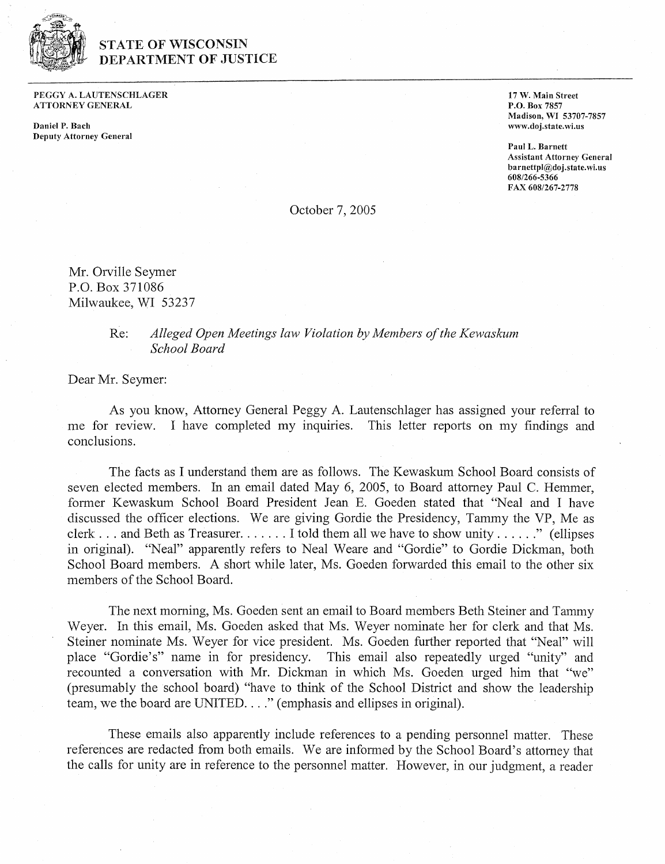

## **STATE OF WISCONSIN** DEPARTMENT OF JUSTICE

**PEGGY A. EAUTENSCHLAGER ATTORNEY GENERAL** 

**Daniel P. Bach Deputy Attorney General**  *17 W.* **Main Street P.O. Box** *7857*  **Madison, WI** *53707-7857*  **www.doj.state.wi.us** 

**Paul E. Barnett Assistant Attorney General barnettpl@doj.state.wi.us**  *6081266-5366*  **FAX** *6081267-2778* 

October 7, 2005

Mr. Orville Seymer P.O. Box 371086 Milwaukee, WI 53237

## Re: *Alleged Open Meetings law Violation by Members of the Kewaskum School Board*

Dear Mr. Seymer:

As you know, Attorney General Peggy A. Lautenschlager has assigned your referral to me for review. I have completed my inquiries. This letter reports on my findings and conclusions.

The facts as I understand them are as follows. The Kewaskum School Board consists of seven elected members. In an email dated May 6, 2005, to Board attorney Paul C. Hemmer, former Kewaskum School Board President Jean E. Goeden stated that "Neal and I have discussed the officer elections. We are giving Gordie the Presidency, Tammy the VP, Me as clerk . . . and Beth as Treasurer. . . . . . . I told them all we have to show unity . . . . . ." (ellipses in original). "Neal" apparently refers to Neal Weare and "Gordie" to Gordie Dickman, both School Board members. A short while later, Ms. Goeden forwarded this email to the other six members of the School Board.

The next morning, Ms. Goeden sent an email to Board members Beth Steiner and Tammy Weyer. In this email, Ms. Goeden asked that Ms. Weyer nominate her for clerk and that Ms. Steiner nominate Ms. Weyer for vice president. Ms. Goeden further reported that "Neal" will place "Gordie's" name in for presidency. This email also repeatedly urged "unity" and recounted a conversation with Mr. Dickman in which Ms. Goeden urged him that "we" (presumably the school board) "have to think of the School District and show the leadership team, we the board are UNITED. . . ." (emphasis and ellipses in original).

These emails also apparently include references to a pending personnel matter. These references are redacted from both emails. We are informed by the School Board's attorney that the calls for unity are in reference to the personnel matter. However, in our judgment, a reader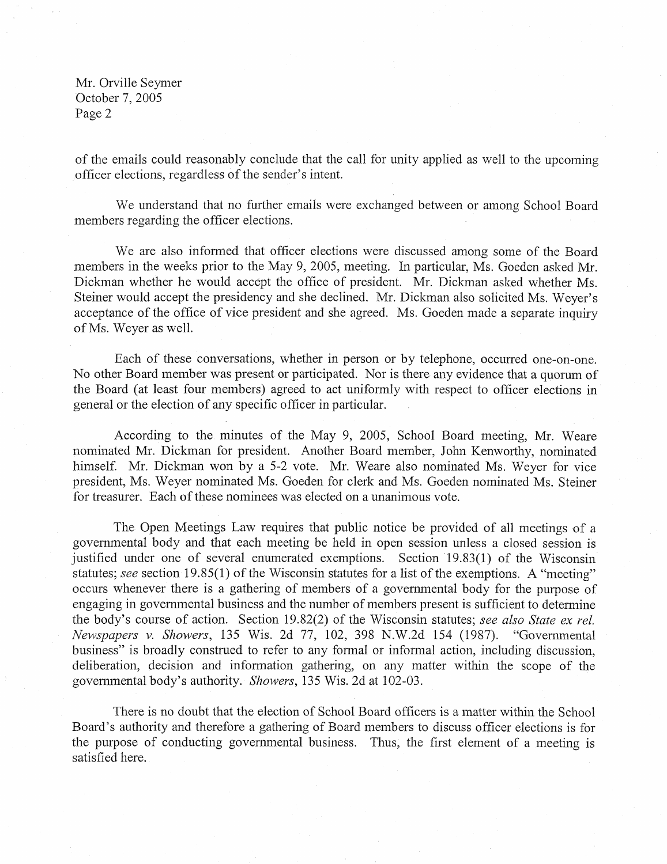Mr. Orville Seymer October 7, 2005 Page 2

of the emails could reasonably conclude that the call for unity applied as well to the upcoming officer elections, regardless of the sender's intent.

We understand that no further emails were exchanged between or among School Board members regarding the officer elections.

We are also informed that officer elections were discussed among some of the Board members in the weeks prior to the May 9, 2005, meeting. In particular, Ms. Goeden asked Mr. Dickman whether he would accept the office of president. Mr. Dickman asked whether Ms. Steiner would accept the presidency and she declined. Mr. Dickman also solicited Ms. Weyer's acceptance of the office of vice president and she agreed. Ms. Goeden made a separate inquiry of Ms. Weyer as well.

Each of these conversations, whether in person or by telephone, occurred one-on-one. No other Board member was present or participated. Nor is there any evidence that a quorum of the Board (at least four members) agreed to act uniformly with respect to officer elections in general or the election of any specific officer in particular.

According to the minutes of the May 9, 2005, School Board meeting, Mr. Weare nominated Mr. Dickman for president. Another Board member, John Kenworthy, nominated himself. Mr. Dickman won by a 5-2 vote. Mr. Weare also nominated Ms. Weyer for vice president, Ms. Weyer nominated Ms. Goeden for clerk and Ms. Goeden nominated Ms. Steiner for treasurer. Each of these nominees was elected on a unanimous vote.

The Open Meetings Law requires that public notice be provided of all meetings of a governmental body and that each meeting be held in open session unless a closed session is justified under one of several enumerated exemptions. Section 19.83(1) of the Wisconsin statutes; see section 19.85(1) of the Wisconsin statutes for a list of the exemptions. A "meeting" occurs whenever there is a gathering of members of a governmental body for the purpose of engaging in governmental business and the number of members present is sufficient to determine the body's course of action. Section 19.82(2) of the Wisconsin statutes; see also State ex rel. Newspapers v. Showers, 135 Wis. 2d 77, 102, 398 N.W.2d 154 (1987). "Governmental business" is broadly construed to refer to any formal or informal action, including discussion, deliberation, decision and information gathering, on any matter within the scope of the governrnental body's authority. Showers, 135 Wis. 2d at 102-03.

There is no doubt that the election of School Board officers is a matter within the School Board's authority and therefore a gathering of Board members to discuss officer elections is for the purpose of conducting governmental business. Thus, the first element of a meeting is satisfied here.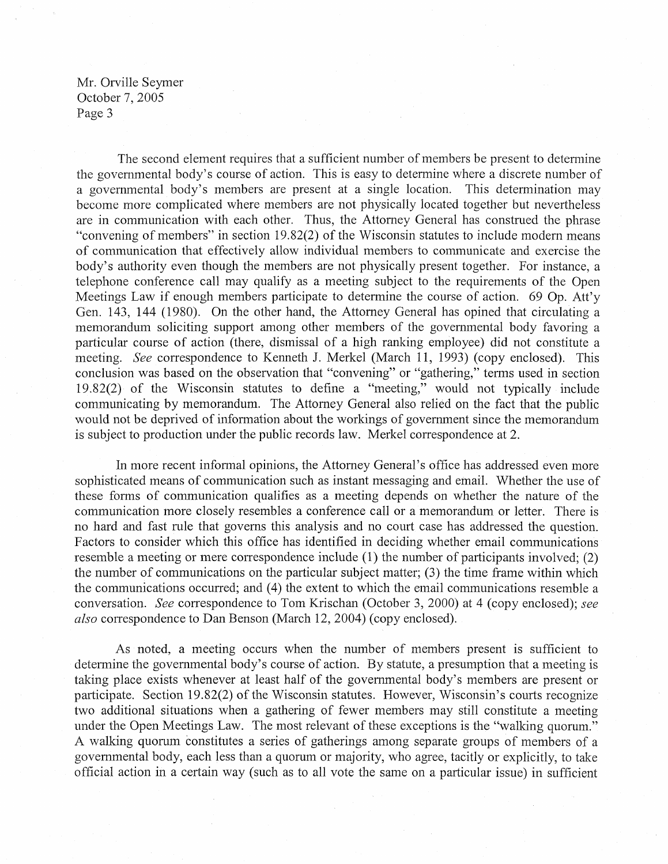Mr. Orville Seymer October 7,2005 Page 3

The second element requires that a sufficient number of members be present to determine the governmental body's course of action. This is easy to determine where a discrete number of a governmental body's members are present at a single location. This determination may become more complicated where members are not physicaiiy located together but nevertheless are in communication with each other. Thus, the Attorney General has construed the phrase "convening of members" in section 19.82(2) of the Wisconsin statutes to include modem means of communication that effectively allow individual members to communicate and exercise the body's authority even though the members are not physically present together. For instance, a telephone conference call may qualify as a meeting subject to the requirements of the Open Meetings Law if enough members participate to determine the course of action. 69 Op. Att'y Gen. 143, 144 (1980). On the other hand, the Attorney General has opined that circulating a memorandum soliciting support among other members of the governmental body favoring a particular course of action (there, dismissal of a high ranking employee) did not constitute a meeting. **See** correspondence to Kenneth J. Merkel (March 11, 1993) (copy enclosed). This conclusion was based on the observation that "convening" or "gathering," terms used in section 19.82(2) of the Wisconsin statutes to define a "meeting," would not typically include communicating by memorandum. The Attorney General also relied on the fact that the public would not be deprived of information about the workings of government since the memorandum is subject to production under the public records law. Merkel correspondence at 2.

In more recent informal opinions, the Attorney General's office has addressed even more sophisticated means of communication such as instant messaging and email. Whether the use of these forms of communication qualifies as a meeting depends on whether the nature of the communication more closely resembles a conference call or a memorandum or letter. There is no hard and fast rule that governs this analysis and no court case has addressed the question. Factors to consider which this office has identified in deciding whether email communications resemble a meeting or mere correspondence include (1) the number of participants involved; (2) the number of communications on the particular subject matter; (3) the time frame within which the communications occurred; and (4) the extent to which the email communications resemble a conversation. **See** correspondence to Tom Krischan (October 3, 2000) at 4 (copy enclosed); **see also** correspondence to Dan Benson (March 12,2004) (copy enclosed).

As noted, a meeting occurs when the number of members present is sufficient to determine the governmental body's course of action. By statute, a presumption that a meeting is taking place exists whenever at least half of the governmental body's members are present or participate. Section 19.82(2) of the Wisconsin statutes. However, Wisconsin's courts recognize two additional situations when a gathering of fewer members may still constitute a meeting under the Open Meetings Law. The most relevant of these exceptions is the "walking quorum." A walking quorum constitutes a series of gatherings among separate groups of members of a governmental body, each less than a quorum or majority, who agree, tacitly or explicitly, to take official action in a certain way (such as to all vote the same on a particular issue) in sufficient